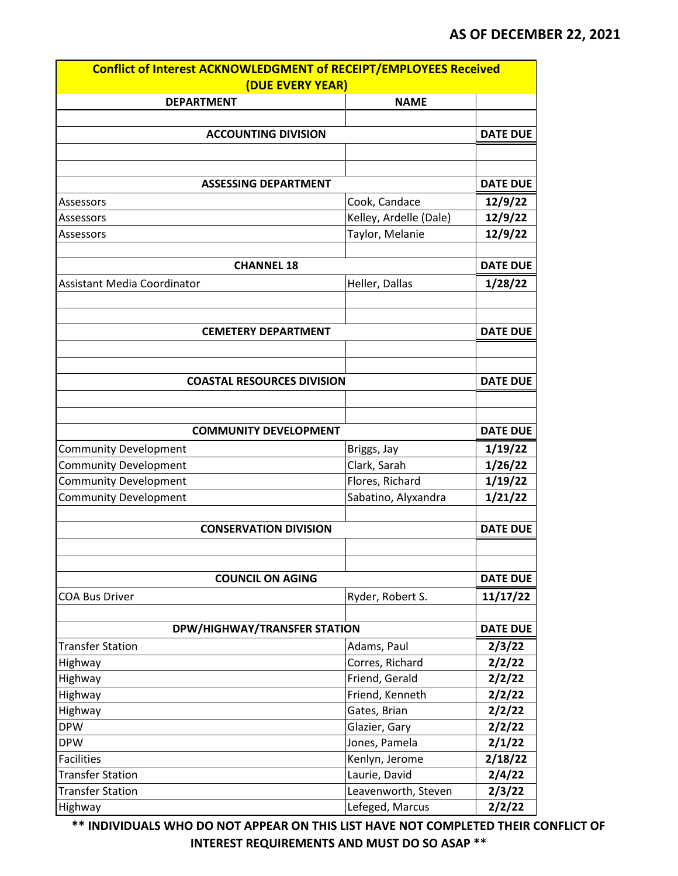| Conflict of Interest ACKNOWLEDGMENT of RECEIPT/EMPLOYEES Received |                                        |                 |
|-------------------------------------------------------------------|----------------------------------------|-----------------|
| (DUE EVERY YEAR)                                                  |                                        |                 |
| <b>DEPARTMENT</b>                                                 | <b>NAME</b>                            |                 |
|                                                                   |                                        |                 |
| <b>ACCOUNTING DIVISION</b>                                        |                                        | <b>DATE DUE</b> |
|                                                                   |                                        |                 |
|                                                                   |                                        |                 |
| <b>ASSESSING DEPARTMENT</b>                                       |                                        | <b>DATE DUE</b> |
| Assessors                                                         | Cook, Candace                          | 12/9/22         |
| Assessors                                                         | Kelley, Ardelle (Dale)                 | 12/9/22         |
| Assessors                                                         | Taylor, Melanie                        | 12/9/22         |
|                                                                   |                                        |                 |
| <b>CHANNEL 18</b>                                                 |                                        | <b>DATE DUE</b> |
| <b>Assistant Media Coordinator</b>                                | Heller, Dallas                         | 1/28/22         |
|                                                                   |                                        |                 |
|                                                                   |                                        |                 |
| <b>CEMETERY DEPARTMENT</b>                                        |                                        | <b>DATE DUE</b> |
|                                                                   |                                        |                 |
|                                                                   |                                        |                 |
| <b>COASTAL RESOURCES DIVISION</b>                                 |                                        | <b>DATE DUE</b> |
|                                                                   |                                        |                 |
|                                                                   |                                        |                 |
| <b>COMMUNITY DEVELOPMENT</b>                                      |                                        | <b>DATE DUE</b> |
| <b>Community Development</b>                                      | Briggs, Jay                            | 1/19/22         |
| <b>Community Development</b>                                      | Clark, Sarah                           | 1/26/22         |
| Community Development                                             | Flores, Richard                        | 1/19/22         |
| <b>Community Development</b>                                      | Sabatino, Alyxandra                    | 1/21/22         |
|                                                                   |                                        |                 |
| <b>CONSERVATION DIVISION</b>                                      |                                        | <b>DATE DUE</b> |
|                                                                   |                                        |                 |
|                                                                   |                                        |                 |
| <b>COUNCIL ON AGING</b>                                           |                                        | <b>DATE DUE</b> |
| <b>COA Bus Driver</b>                                             | Ryder, Robert S.                       | 11/17/22        |
|                                                                   |                                        |                 |
| DPW/HIGHWAY/TRANSFER STATION                                      |                                        | <b>DATE DUE</b> |
| <b>Transfer Station</b>                                           | Adams, Paul                            | 2/3/22          |
| Highway                                                           | Corres, Richard                        | 2/2/22          |
| Highway                                                           | Friend, Gerald                         | 2/2/22          |
| Highway                                                           | Friend, Kenneth                        | 2/2/22          |
| Highway                                                           | Gates, Brian                           | 2/2/22          |
| <b>DPW</b>                                                        | Glazier, Gary                          | 2/2/22          |
| <b>DPW</b>                                                        | Jones, Pamela                          | 2/1/22          |
| <b>Facilities</b><br><b>Transfer Station</b>                      | Kenlyn, Jerome                         | 2/18/22         |
| <b>Transfer Station</b>                                           | Laurie, David                          | 2/4/22          |
|                                                                   | Leavenworth, Steven<br>Lefeged, Marcus | 2/3/22          |
| Highway                                                           |                                        | 2/2/22          |

**\*\* INDIVIDUALS WHO DO NOT APPEAR ON THIS LIST HAVE NOT COMPLETED THEIR CONFLICT OF INTEREST REQUIREMENTS AND MUST DO SO ASAP \*\***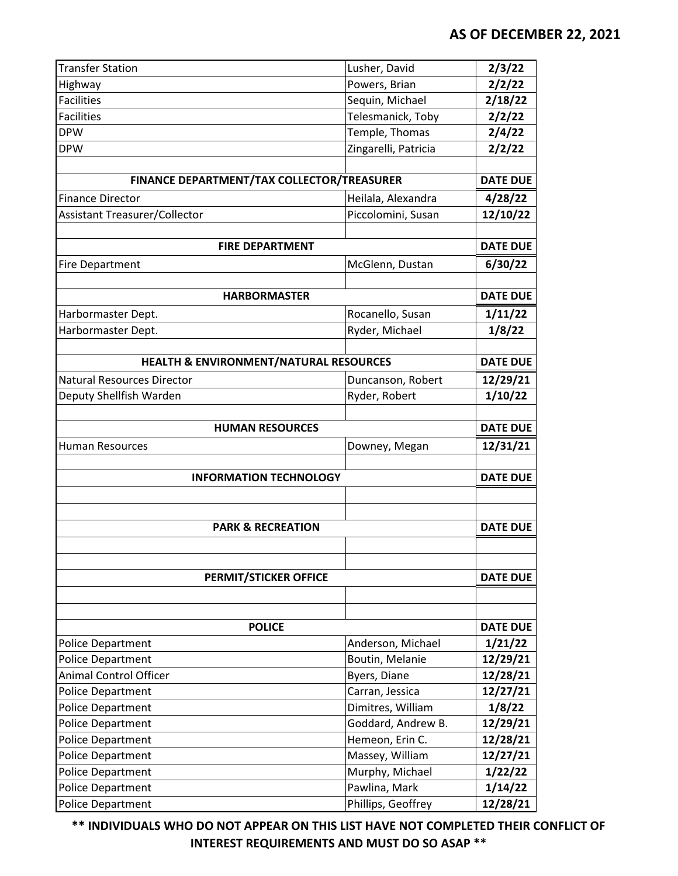| <b>Transfer Station</b>                    | Lusher, David        | 2/3/22          |
|--------------------------------------------|----------------------|-----------------|
| Highway                                    | Powers, Brian        | 2/2/22          |
| <b>Facilities</b>                          | Sequin, Michael      | 2/18/22         |
| Facilities                                 | Telesmanick, Toby    | 2/2/22          |
| <b>DPW</b>                                 | Temple, Thomas       | 2/4/22          |
| <b>DPW</b>                                 | Zingarelli, Patricia | 2/2/22          |
|                                            |                      |                 |
| FINANCE DEPARTMENT/TAX COLLECTOR/TREASURER |                      | <b>DATE DUE</b> |
| <b>Finance Director</b>                    | Heilala, Alexandra   | 4/28/22         |
| <b>Assistant Treasurer/Collector</b>       | Piccolomini, Susan   | 12/10/22        |
|                                            |                      |                 |
| <b>FIRE DEPARTMENT</b>                     |                      | <b>DATE DUE</b> |
| <b>Fire Department</b>                     | McGlenn, Dustan      | 6/30/22         |
|                                            |                      |                 |
| <b>HARBORMASTER</b>                        |                      | <b>DATE DUE</b> |
| Harbormaster Dept.                         | Rocanello, Susan     | 1/11/22         |
| Harbormaster Dept.                         | Ryder, Michael       | 1/8/22          |
|                                            |                      |                 |
| HEALTH & ENVIRONMENT/NATURAL RESOURCES     |                      | <b>DATE DUE</b> |
| <b>Natural Resources Director</b>          | Duncanson, Robert    | 12/29/21        |
| Deputy Shellfish Warden                    | Ryder, Robert        | 1/10/22         |
|                                            |                      |                 |
| <b>HUMAN RESOURCES</b>                     |                      | <b>DATE DUE</b> |
| <b>Human Resources</b>                     | Downey, Megan        | 12/31/21        |
|                                            |                      |                 |
| <b>INFORMATION TECHNOLOGY</b>              |                      | <b>DATE DUE</b> |
|                                            |                      |                 |
|                                            |                      |                 |
| <b>PARK &amp; RECREATION</b>               | <b>DATE DUE</b>      |                 |
|                                            |                      |                 |
|                                            |                      |                 |
| <b>PERMIT/STICKER OFFICE</b>               |                      | <b>DATE DUE</b> |
|                                            |                      |                 |
|                                            |                      |                 |
| <b>POLICE</b>                              |                      | <b>DATE DUE</b> |
| <b>Police Department</b>                   | Anderson, Michael    | 1/21/22         |
| Police Department                          | Boutin, Melanie      | 12/29/21        |
| <b>Animal Control Officer</b>              | Byers, Diane         | 12/28/21        |
| Police Department                          | Carran, Jessica      | 12/27/21        |
| <b>Police Department</b>                   | Dimitres, William    | 1/8/22          |
| Police Department                          | Goddard, Andrew B.   | 12/29/21        |
| Police Department                          | Hemeon, Erin C.      | 12/28/21        |
| Police Department                          | Massey, William      | 12/27/21        |
| Police Department                          | Murphy, Michael      | 1/22/22         |
| <b>Police Department</b>                   | Pawlina, Mark        | 1/14/22         |
| <b>Police Department</b>                   | Phillips, Geoffrey   | 12/28/21        |

**\*\* INDIVIDUALS WHO DO NOT APPEAR ON THIS LIST HAVE NOT COMPLETED THEIR CONFLICT OF INTEREST REQUIREMENTS AND MUST DO SO ASAP \*\***